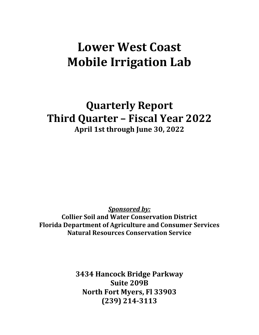# **Lower West Coast Mobile Irrigation Lab**

**Quarterly Report Third Quarter – Fiscal Year 2022 April 1st through June 30, 2022**

*Sponsored by:*

**Collier Soil and Water Conservation District Florida Department of Agriculture and Consumer Services Natural Resources Conservation Service**

> **3434 Hancock Bridge Parkway Suite 209B North Fort Myers, Fl 33903 (239) 214-3113**